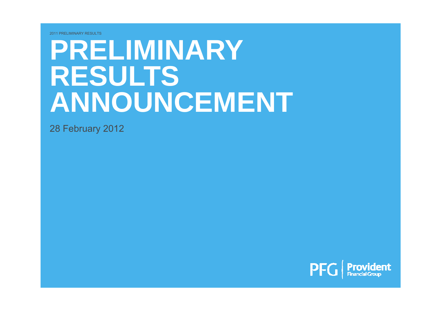# **PRELIMINARYRESULTS ANNOUNCEMENT**

28 February 2012

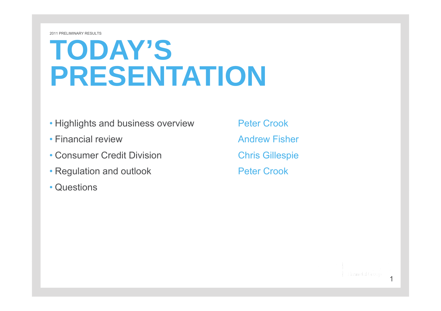# **TODAY S' PRESENTATION**

- Highlights and business overview Peter Crook
- Financial review
- Consumer Credit Division **Chris Gillespie**
- Regulation and outlook **Peter Crook**
- Questions

Andrew Fisher

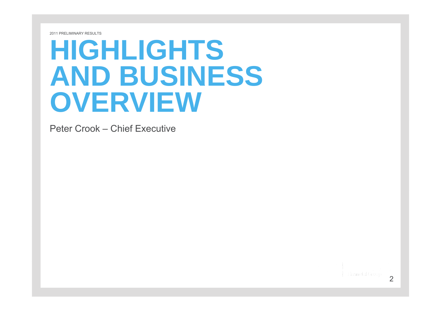# **HIGHLIGHTS AND BUSINESS OVERVIEW**

Peter Crook – Chief Executive

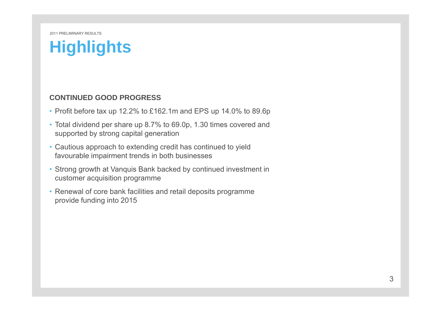#### **Highlights**

#### **CONTINUED GOOD PROGRESS**

- Profit before tax up 12.2% to £162.1m and EPS up 14.0% to 89.6p
- Total dividend per share up 8.7% to 69.0p, 1.30 times covered and supported by strong capital generation
- Cautious approach to extending credit has continued to yield favourable impairment trends in both businesses
- Strong growth at Vanquis Bank backed by continued investment in customer acquisition programme
- Renewal of core bank facilities and retail deposits programme provide funding into 2015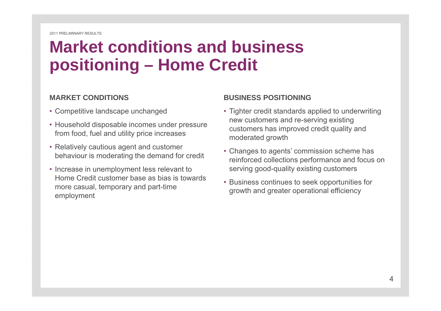## **Market conditions and business positioning – Home Credit**

#### **MARKET CONDITIONS**

- Competitive landscape unchanged
- Household disposable incomes under pressure from food, fuel and utility price increases
- Relatively cautious agent and customer behaviour is moderating the demand for credit
- Increase in unemployment less relevant to Home Credit customer base as bias is towards more casual, temporary and part-time more casual, temporary and part-time<br>employment employment

#### **BUSINESS POSITIONING**

- Tighter credit standards applied to underwriting new customers and re-serving existing • Household disposable incomes under pressure customers has improved credit quality and moderated growth
	- Changes to agents' commission scheme has reinforced collections performance and focus on serving good-quality existing customers
	- Business continues to seek opportunities for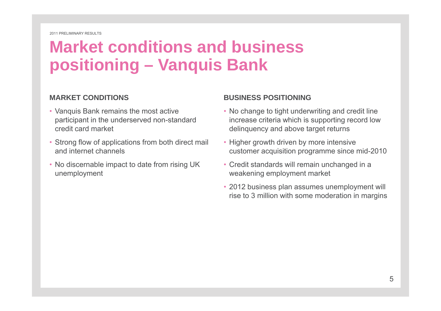## **Market conditions and business positioning – Vanquis Bank**

#### **MARKET CONDITIONS**

- Vanquis Bank remains the most active participant in the underserved non standard credit card market
- Strong flow of applications from both direct mail and internet channels
- No discernable impact to date from rising UK unemployment

#### **BUSINESS POSITIONING**

- No change to tight underwriting and credit line non-standard increase criteria which is supporting record low is delinquency and above target returns
	- Higher growth driven by more intensive customer acquisition programme since mid-2010
	- Credit standards will remain unchanged in a weakening employment market
	- 2012 business plan assumes unemployment will rise to 3 million with some moderation in margins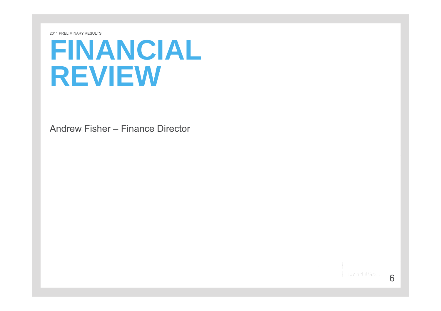# **FINANCIAL REVIEW**

Andrew Fisher – Finance Director

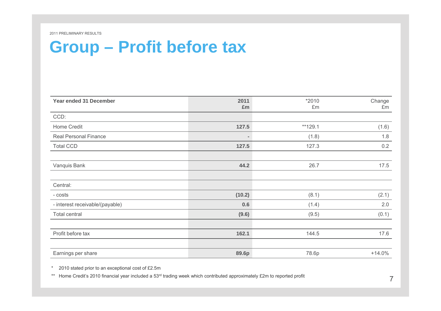## **Group – Profit before tax**

| Year ended 31 December          | 2011              | *2010   | Change   |
|---------------------------------|-------------------|---------|----------|
|                                 | £m                | £m      | £m       |
| CCD:                            |                   |         |          |
| Home Credit                     | 127.5             | **129.1 | (1.6)    |
| <b>Real Personal Finance</b>    | $\qquad \qquad =$ | (1.8)   | 1.8      |
| <b>Total CCD</b>                | 127.5             | 127.3   | 0.2      |
|                                 |                   |         |          |
| Vanquis Bank                    | 44.2              | 26.7    | 17.5     |
|                                 |                   |         |          |
| Central:                        |                   |         |          |
| - costs                         | (10.2)            | (8.1)   | (2.1)    |
| - interest receivable/(payable) | 0.6               | (1.4)   | 2.0      |
| Total central                   | (9.6)             | (9.5)   | (0.1)    |
|                                 |                   |         |          |
| Profit before tax               | 162.1             | 144.5   | 17.6     |
|                                 |                   |         |          |
| Earnings per share              | 89.6p             | 78.6p   | $+14.0%$ |

\*2010 stated prior to an exceptional cost of £2.5m

\*\* Home Credit's 2010 financial year included a 53<sup>rd</sup> trading week which contributed approximately £2m to reported profit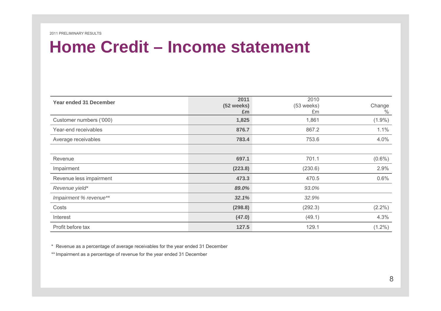#### **Home Credit Credit– Income statement**

| <b>Year ended 31 December</b> | 2011<br>$(52$ weeks)<br>£m | 2010<br>(53 weeks)<br>£m | Change<br>$\%$ |
|-------------------------------|----------------------------|--------------------------|----------------|
| Customer numbers ('000)       | 1,825                      | 1,861                    | $(1.9\%)$      |
| Year-end receivables          | 876.7                      | 867.2                    | 1.1%           |
| Average receivables           | 783.4                      | 753.6                    | 4.0%           |
|                               |                            |                          |                |
| Revenue                       | 697.1                      | 701.1                    | $(0.6\%)$      |
| Impairment                    | (223.8)                    | (230.6)                  | 2.9%           |
| Revenue less impairment       | 473.3                      | 470.5                    | 0.6%           |
| Revenue yield*                | 89.0%                      | 93.0%                    |                |
| Impairment % revenue**        | 32.1%                      | 32.9%                    |                |
| Costs                         | (298.8)                    | (292.3)                  | $(2.2\%)$      |
| Interest                      | (47.0)                     | (49.1)                   | 4.3%           |
| Profit before tax             | 127.5                      | 129.1                    | $(1.2\%)$      |

\* Revenue as a percentage of average receivables for the year ended 31 December

\*\* Impairment as a percentage of revenue for the year ended 31 December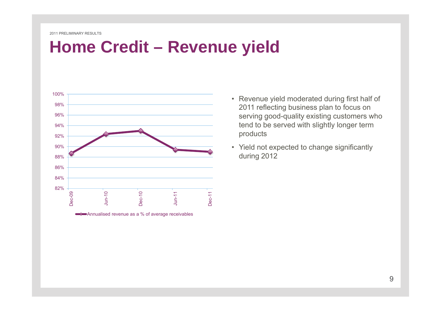#### **Home Credit Credit– Revenue yield**



Annualised revenue as a % of average receivables

- Revenue yield moderated during first half of 2011 reflecting business plan to focus on tend to be served with slightly longer term products
- Yield not expected to change significantly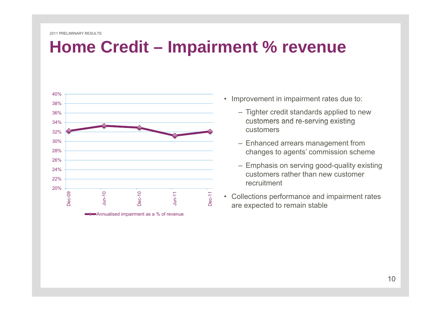#### **Home Credit Credit– Impairment % revenue**



• Improvement in impairment rates due to:

- Tighter credit standards applied to new customers and re-serving existing customers
- Enhanced arrears management from
- Emphasis on serving good-quality existing customers rather than new customer recruitment
-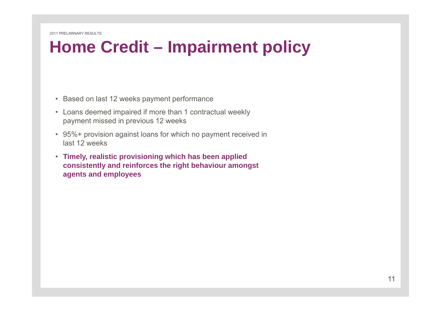#### **Home Credit Credit– Impairment policy**

- Based on last 12 weeks payment performance
- Loans deemed impaired if more than 1 contractual weekly payment missed in previous 12 weeks
- 95%+ provision against loans for which no payment received in last 12 weeks
- **Timely realistic provisioning which has been applied Timely, consistently and reinforces the right behaviour amongst agents and employees**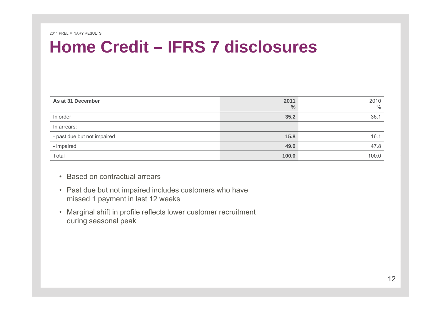#### **Home Credit Credit– IFRS 7 disclosures**

| As at 31 December           | 2011<br>$\frac{0}{0}$ | 2010<br>$\frac{0}{0}$ |
|-----------------------------|-----------------------|-----------------------|
| In order                    | 35.2                  | 36.1                  |
| In arrears:                 |                       |                       |
| - past due but not impaired | 15.8                  | 16.1                  |
| - impaired                  | 49.0                  | 47.8                  |
| Total                       | 100.0                 | 100.0                 |

- Based on contractual arrears
- Past due but not impaired includes customers who have missed 1 payment in last 12 weeks
- Marginal shift in profile reflects lower customer recruitment during seasonal peak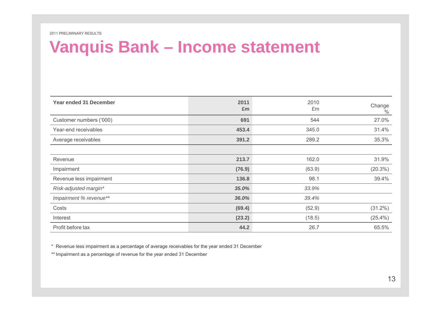#### **Vanquis Bank – Income statement**

| Year ended 31 December  | 2011<br>£m | 2010<br>£m | Change<br>$\%$ |
|-------------------------|------------|------------|----------------|
| Customer numbers ('000) | 691        | 544        | 27.0%          |
| Year-end receivables    | 453.4      | 345.0      | 31.4%          |
| Average receivables     | 391.2      | 289.2      | 35.3%          |
|                         |            |            |                |
| Revenue                 | 213.7      | 162.0      | 31.9%          |
| Impairment              | (76.9)     | (63.9)     | $(20.3\%)$     |
| Revenue less impairment | 136.8      | 98.1       | 39.4%          |
| Risk-adjusted margin*   | 35.0%      | 33.9%      |                |
| Impairment % revenue**  | 36.0%      | 39.4%      |                |
| Costs                   | (69.4)     | (52.9)     | $(31.2\%)$     |
| Interest                | (23.2)     | (18.5)     | $(25.4\%)$     |
| Profit before tax       | 44.2       | 26.7       | 65.5%          |

\* Revenue less impairment as a percentage of average receivables for the year ended 31 December

\*\* Impairment as a percentage of revenue for the year ended 31 December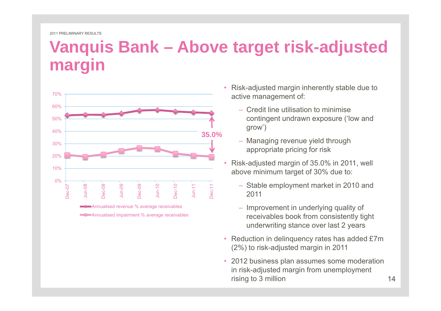#### **Vanquis Bank – Above target risk risk-adjusted adjusted margin**



- Risk-adjusted margin inherently stable due to active management of:
	- Credit line utilisation to minimise grow')
	- Managing revenue yield through appropriate pricing for risk
- • Risk-adjusted margin of 35.0% in 2011, well above minimum target of 30% due to:
- $\frac{1}{8}$  Stab<br> $\frac{1}{8}$  2011
	- Improvement in underlying quality of receivables book from consistently tight underwriting stance over last 2 years
	- Reduction in delinquency rates has added £7m (2%) to risk-adjusted margin in 2011
	- 2012 business plan assumes some moderation in risk-adjusted margin from unemployment rising to 3 million 14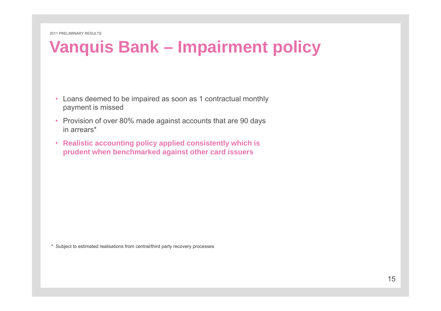#### **Vanquis Bank – Impairment policy**

- Loans deemed to be impaired as soon as 1 contractual monthly payment is missed
- Provision of over 80% made against accounts that are 90 days in arrears\*
- **Realistic accounting policy applied consistently which is p g rudent when benchmarked against other card issuers**

\* Subject to estimated realisations from central/third party recovery processes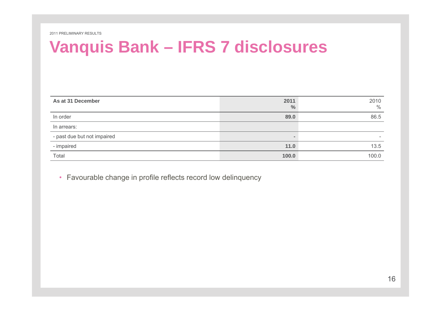#### **Vanquis Bank – IFRS 7 disclosures**

| As at 31 December           | 2011<br>$\frac{0}{0}$ | 2010<br>$\%$ |
|-----------------------------|-----------------------|--------------|
| In order                    | 89.0                  | 86.5         |
| In arrears:                 |                       |              |
| - past due but not impaired |                       | -            |
| - impaired                  | 11.0                  | 13.5         |
| Total                       | 100.0                 | 100.0        |

• Favourable change in profile reflects record low delinquency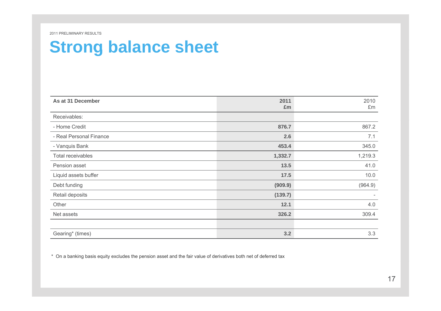#### **Strong balance sheet**

| As at 31 December       | 2011    | 2010    |
|-------------------------|---------|---------|
|                         | £m      | £m      |
| Receivables:            |         |         |
| - Home Credit           | 876.7   | 867.2   |
| - Real Personal Finance | 2.6     | 7.1     |
| - Vanquis Bank          | 453.4   | 345.0   |
| Total receivables       | 1,332.7 | 1,219.3 |
| Pension asset           | 13.5    | 41.0    |
| Liquid assets buffer    | 17.5    | 10.0    |
| Debt funding            | (909.9) | (964.9) |
| Retail deposits         | (139.7) |         |
| Other                   | 12.1    | 4.0     |
| Net assets              | 326.2   | 309.4   |
|                         |         |         |
| Gearing* (times)        | 3.2     | 3.3     |

\* On a banking basis equity excludes the pension asset and the fair value of derivatives both net of deferred tax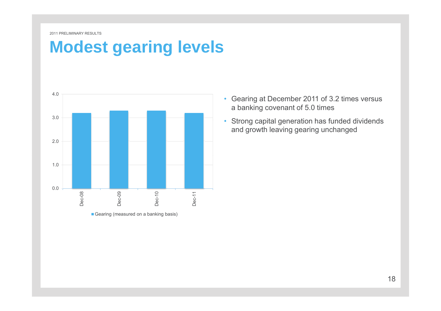#### **Modest gearing levels**



Gearing (measured on a banking basis)

- Gearing at December 2011 of 3.2 times versus a banking covenant of 5.0 times
- and growth leaving gearing unchanged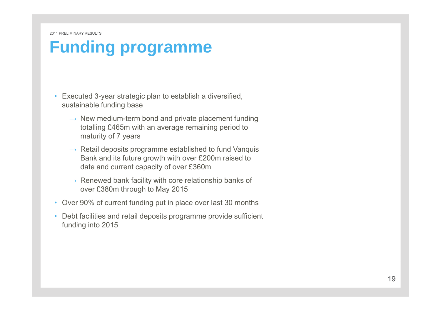## **Funding programme**

- Executed 3-year strategic plan to establish a diversified, sustainable funding base
	- $\rightarrow$  New medium-term bond and private placement funding totalling £465m with an average remaining period to maturity of 7 years
	- $\rightarrow$  Retail deposits programme established to fund Vanquis Bank and its future growth with over £200m raised to date and current capacity of over £360m
	- $\rightarrow$  Renewed bank facility with core relationship banks of over £380m through to May 2015
- Over 90% of current funding put in place over last 30 months
- Debt facilities and retail deposits programme provide sufficient funding into 2015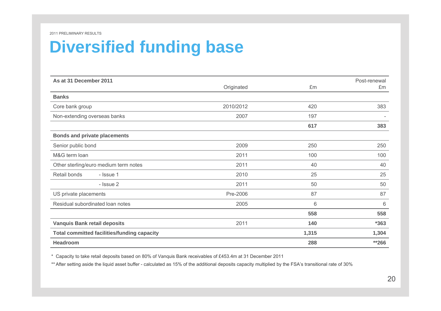#### **Diversified funding base**

| As at 31 December 2011                             |            |       | Post-renewal |
|----------------------------------------------------|------------|-------|--------------|
|                                                    | Originated | £m    | £m           |
| <b>Banks</b>                                       |            |       |              |
| Core bank group                                    | 2010/2012  | 420   | 383          |
| Non-extending overseas banks                       | 2007       | 197   |              |
|                                                    |            | 617   | 383          |
| <b>Bonds and private placements</b>                |            |       |              |
| Senior public bond                                 | 2009       | 250   | 250          |
| M&G term loan                                      | 2011       | 100   | 100          |
| Other sterling/euro medium term notes              | 2011       | 40    | 40           |
| Retail bonds<br>- Issue 1                          | 2010       | 25    | 25           |
| - Issue 2                                          | 2011       | 50    | 50           |
| US private placements                              | Pre-2006   | 87    | 87           |
| Residual subordinated loan notes                   | 2005       | 6     | 6            |
|                                                    |            | 558   | 558          |
| <b>Vanquis Bank retail deposits</b>                | 2011       | 140   | $*363$       |
| <b>Total committed facilities/funding capacity</b> |            | 1,315 | 1,304        |
| <b>Headroom</b>                                    |            | 288   | $*266$       |

\* Capacity to take retail deposits based on 80% of Vanquis Bank receivables of £453.4m at 31 December 2011

\*\* After setting aside the liquid asset buffer - calculated as 15% of the additional deposits capacity multiplied by the FSA's transitional rate of 30%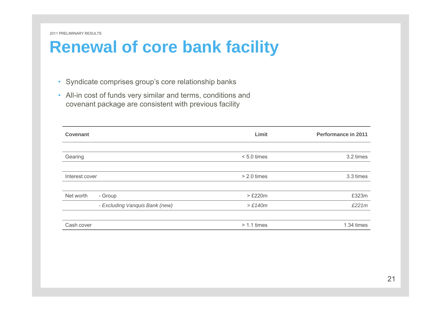#### **Renewal of core bank facility**

- Syndicate comprises group's core relationship banks
- All-in cost of funds very similar and terms, conditions and covenant package are consistent with previous facility

| Covenant       |                                | Limit         | <b>Performance in 2011</b> |
|----------------|--------------------------------|---------------|----------------------------|
|                |                                |               |                            |
| Gearing        |                                | $< 5.0$ times | 3.2 times                  |
|                |                                |               |                            |
| Interest cover |                                | $> 2.0$ times | 3.3 times                  |
|                |                                |               |                            |
| Net worth      | - Group                        | $>\tE220m$    | £323m                      |
|                | - Excluding Vanquis Bank (new) | >E140m        | £221m                      |
|                |                                |               |                            |
| Cash cover     |                                | $> 1.1$ times | 1.34 times                 |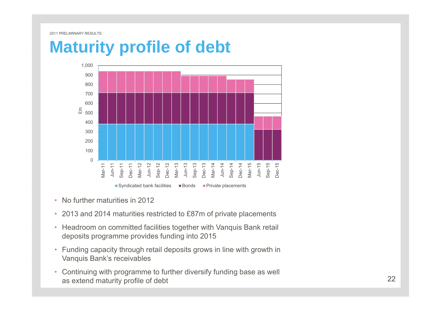#### **Maturity profile of debt profile**



- •No further maturities in 2012
- 2013 and 2014 maturities restricted to £87m of private placements
- Headroom on committed facilities together with Vanquis Bank retail deposits programme provides funding into 2015
- Funding capacity through retail deposits grows in line with growth in Vanquis Bank's receivables
- Continuing with programme to further diversify funding base as well as extend maturity profile of debt 22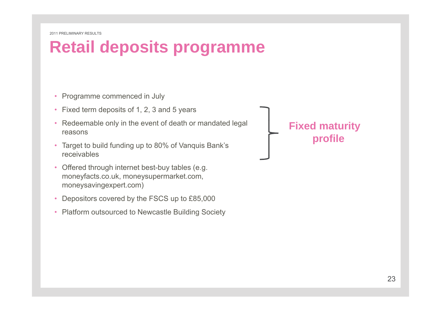# **Retail deposits programme**

- Programme commenced in July
- Fixed term deposits of 1, 2, 3 and 5 years
- Redeemable only in the event of death or mandated legal reasons
- Target to build funding up to 80% of Vanquis Bank's receivables
- Offered through internet best-buy tables (e.g. moneyfacts.co.uk, moneysupermarket.com, moneysavingexpert.com)
- •Depositors covered by the FSCS up to £85,000
- Platform outsourced to Newcastle Building Society

**Fixed maturity profile**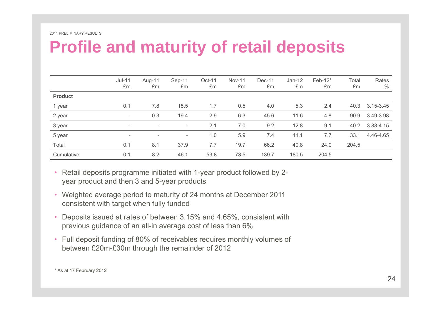#### **Profile and maturity of retail deposits retail**

|                | $Jul-11$<br>£m           | Aug-11<br>£m             | Sep-11<br>£m             | Oct-11<br>£m | <b>Nov-11</b><br>£m | Dec-11<br>£m | $Jan-12$<br>£m | Feb-12*<br>£m | Total<br>£m | Rates<br>$\frac{0}{0}$ |
|----------------|--------------------------|--------------------------|--------------------------|--------------|---------------------|--------------|----------------|---------------|-------------|------------------------|
| <b>Product</b> |                          |                          |                          |              |                     |              |                |               |             |                        |
| 1 year         | 0.1                      | 7.8                      | 18.5                     | 1.7          | 0.5                 | 4.0          | 5.3            | 2.4           | 40.3        | 3.15-3.45              |
| 2 year         | $\overline{\phantom{a}}$ | 0.3                      | 19.4                     | 2.9          | 6.3                 | 45.6         | 11.6           | 4.8           | 90.9        | 3.49-3.98              |
| 3 year         | $\overline{\phantom{a}}$ | $\overline{\phantom{a}}$ | -                        | 2.1          | 7.0                 | 9.2          | 12.8           | 9.1           | 40.2        | 3.88-4.15              |
| 5 year         | $\overline{\phantom{a}}$ | $\overline{\phantom{a}}$ | $\overline{\phantom{a}}$ | 1.0          | 5.9                 | 7.4          | 11.1           | 7.7           | 33.1        | 4.46-4.65              |
| Total          | 0.1                      | 8.1                      | 37.9                     | 7.7          | 19.7                | 66.2         | 40.8           | 24.0          | 204.5       |                        |
| Cumulative     | 0.1                      | 8.2                      | 46.1                     | 53.8         | 73.5                | 139.7        | 180.5          | 204.5         |             |                        |

- Retail deposits programme initiated with 1-year product followed by 2 year product and then 3 and 5-year products
- Weighted average period to maturity of 24 months at December 2011 consistent with target when fully funded
- Deposits issued at rates of between 3.15% and 4.65%, consistent with previous guidance of an all-in average cost of less than 6%
- Full deposit funding of 80% of receivables requires monthly volumes of between £20m-£30m through the remainder of 2012

<sup>\*</sup> As at 17 February 2012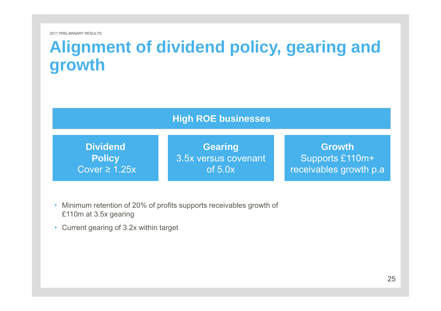#### **Alignment of dividend policy gearing and policy, growth**

**High ROE businesses**

**DividendP li** Cover ≥ 1.25x

**Gearing** 35 t**Policy** S t£110 3.5x versus covenantof 5.0x

**Growth**Supports £110m+ receivables growth p.a

- Minimum retention of 20% of profits supports receivables growth of £110m at 3.5x gearing
- Current gearing of 3.2x within target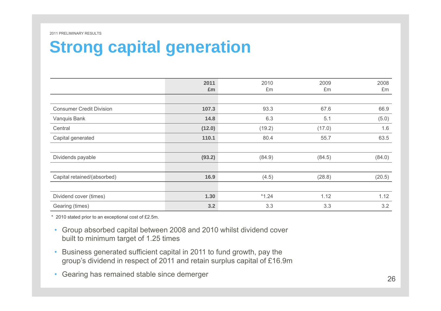## **Strong capital generation**

|                                 | 2011<br>£m | 2010<br>£m | 2009<br>£m | 2008<br>£m |
|---------------------------------|------------|------------|------------|------------|
|                                 |            |            |            |            |
| <b>Consumer Credit Division</b> | 107.3      | 93.3       | 67.6       | 66.9       |
| Vanquis Bank                    | 14.8       | 6.3        | 5.1        | (5.0)      |
| Central                         | (12.0)     | (19.2)     | (17.0)     | 1.6        |
| Capital generated               | 110.1      | 80.4       | 55.7       | 63.5       |
| Dividends payable               | (93.2)     | (84.9)     | (84.5)     | (84.0)     |
| Capital retained/(absorbed)     | 16.9       | (4.5)      | (28.8)     | (20.5)     |
| Dividend cover (times)          | 1.30       | $*1.24$    | 1.12       | 1.12       |
| Gearing (times)                 | 3.2        | 3.3        | 3.3        | 3.2        |

\* 2010 stated prior to an exceptional cost of £2.5m.

- Group absorbed capital between 2008 and 2010 whilst dividend cover built to minimum target of 1.25 times
- Business generated sufficient capital in 2011 to fund growth, pay the group's dividend in respect of 2011 and retain surplus capital of £16.9m
- Gearing has remained stable since demerger  $26$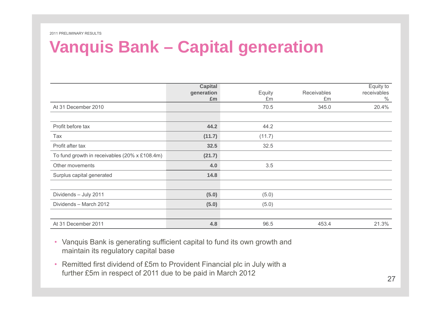#### **Vanquis Bank – Capital generation**

|                                               | <b>Capital</b><br>generation<br>£m | Equity<br>£m | <b>Receivables</b><br>£m | Equity to<br>receivables<br>$\%$ |
|-----------------------------------------------|------------------------------------|--------------|--------------------------|----------------------------------|
| At 31 December 2010                           |                                    | 70.5         | 345.0                    | 20.4%                            |
|                                               |                                    |              |                          |                                  |
| Profit before tax                             | 44.2                               | 44.2         |                          |                                  |
| Tax                                           | (11.7)                             | (11.7)       |                          |                                  |
| Profit after tax                              | 32.5                               | 32.5         |                          |                                  |
| To fund growth in receivables (20% x £108.4m) | (21.7)                             |              |                          |                                  |
| Other movements                               | 4.0                                | 3.5          |                          |                                  |
| Surplus capital generated                     | 14.8                               |              |                          |                                  |
|                                               |                                    |              |                          |                                  |
| Dividends - July 2011                         | (5.0)                              | (5.0)        |                          |                                  |
| Dividends - March 2012                        | (5.0)                              | (5.0)        |                          |                                  |
|                                               |                                    |              |                          |                                  |
| At 31 December 2011                           | 4.8                                | 96.5         | 453.4                    | 21.3%                            |

- Vanquis Bank is generating sufficient capital to fund its own growth and maintain its regulatory capital base
- Remitted first dividend of £5m to Provident Financial plc in July with a further £5m in respect of 2011 due to be paid in March 2012 27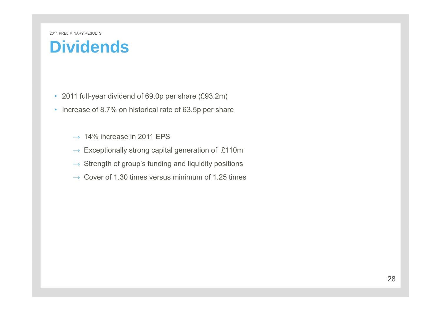#### **Dividends**

- 2011 full-year dividend of 69.0p per share (£93.2m)
- Increase of 8.7% on historical rate of 63.5p per share
	- $\rightarrow$  14% increase in 2011 EPS
	- $\rightarrow$  Exceptionally strong capital generation of £110m
	- $\rightarrow \,$  Strength of group's funding and liquidity positions
	- $\rightarrow \,$  Cover of 1.30 times versus minimum of 1.25 times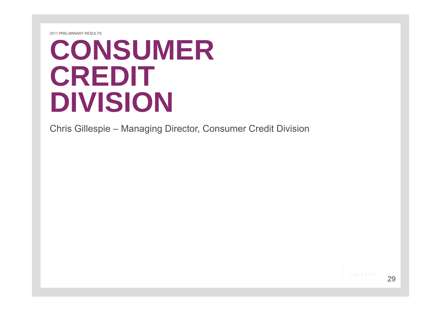# **CONSUMER CREDIT DIVISION**

Chris Gillespie – Managing Director, Consumer Credit Division

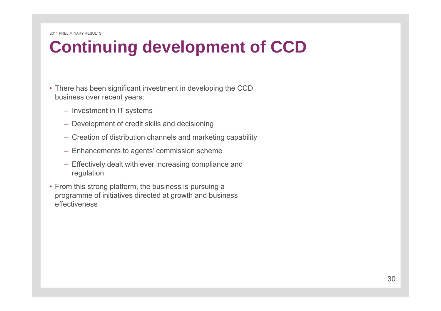# **Continuing development of CCD**

- There has been significant investment in developing the CCD business over recent years:
	- Investment in IT systems
	- Development of credit skills and decisioning
	- Creation of distribution channels and marketing capability
	- Enhancements to agents' commission scheme
	- Effectively dealt with ever increasing compliance and regulation
- From this strong platform, the business is pursuing a programme of initiatives directed at growth and business effectiveness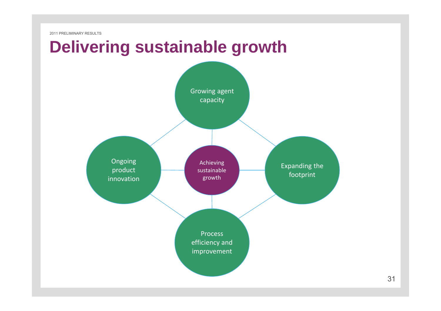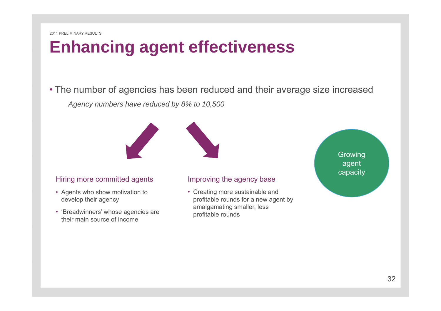## **Enhancing agent effectiveness**

• The number of agencies has been reduced and their average size increased *Agency numbers have reduced by 8% to 10,500*



#### Hiring more committed agents

- Agents who show motivation to develop their agency
- 'Breadwinners' whose agencies are their main source of income

#### Improving the agency base

• Creating more sustainable and profitable rounds for a new agent by amalgamating smaller, less profitable rounds

Growing agent capacity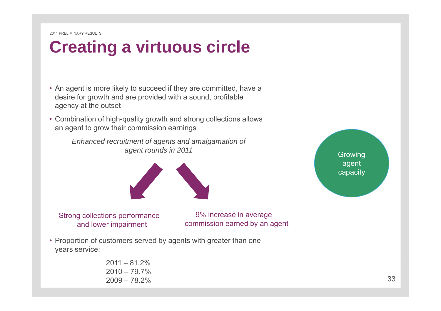# **Creating <sup>a</sup> virtuous circle**

- An agent is more likely to succeed if they are committed, have a desire for growth and are provided with a sound, profitable agency at the outset
- $\bullet$  Combination of high-quality growth and strong collections allows an agent to grow their commission earnings

*Enhanced recruitment of agents and amalgamation of*  agent rounds in 2011 and the set of the set of the set of the Growing



agent capacity

Strong collections performance and lower impairment

9% increase in average commission earned by an agent

• Proportion of customers served by agents with greater than one years service:

| $2011 - 81.2\%$ |
|-----------------|
| $2010 - 79.7\%$ |
| $2009 - 78.2\%$ |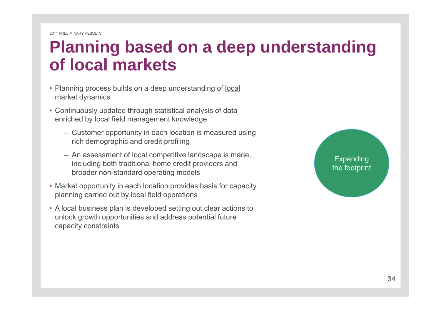## **Planning based on <sup>a</sup> deep understanding of local markets**

- Planning process builds on a deep understanding of local market dynamics
- Continuously updated through statistical analysis of data enriched by local field management knowledge
	- Customer opportunity in each location is measured using rich demographic and credit profiling
	- An assessment of local competitive landscape is made, including both traditional home credit providers and broader non-standard operating models
- Market opportunity in each location provides basis for capacity planning carried out by local field operations
- A local business plan is developed setting out clear actions to unlock growth opportunities and address potential future capacity constraints

Expanding the footprint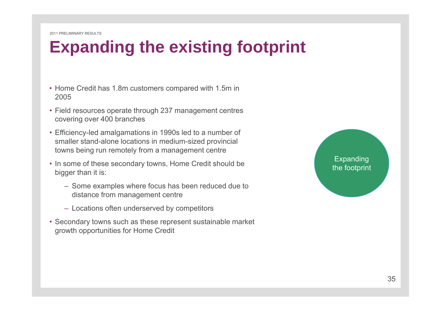# **Expanding the existing footprint**

- Home Credit has 1.8m customers compared with 1.5m in 2005
- Field resources operate through 237 management centres covering over 400 branches
- Efficiency-led amalgamations in 1990s led to a number of smaller stand-alone locations in medium-sized provincial towns being run remotely from a management centre
- In some of these secondary towns, Home Credit should be bigger than it is:
	- Some examples where focus has been reduced due to distance from management centre
	- Locations often underserved by competitors
- Secondary towns such as these represent sustainable market growth opportunities for Home Credit

#### **Expanding** the footprint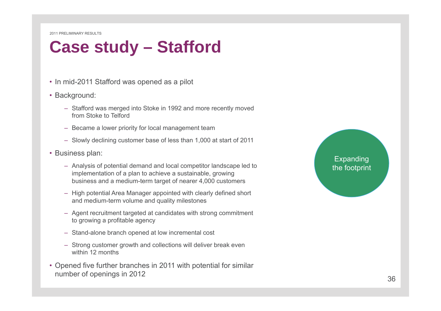## **Case study – Stafford**

- In mid-2011 Stafford was opened as a pilot
- Background:
	- Stafford was merged into Stoke in 1992 and more recently moved from Stoke to Telford
	- Became a lower priority for local management team
	- Slowly declining customer base of less than 1,000 at start of 2011
- Business plan:
	- Analysis of potential demand and local competitor landscape led to implementation of a plan to achieve a sustainable, growing business and a medium-term target of nearer 4,000 customers
	- High potential Area Manager appointed with clearly defined short and medium-term volume and quality milestones
	- Agent recruitment targeted at candidates with strong commitment to growing a profitable agency
	- Stand-alone branch opened at low incremental cost
	- Strong customer growth and collections will deliver break even within 12 months
- Opened five further branches in 2011 with potential for similar number of openings in 2012 36

#### Expanding the footprint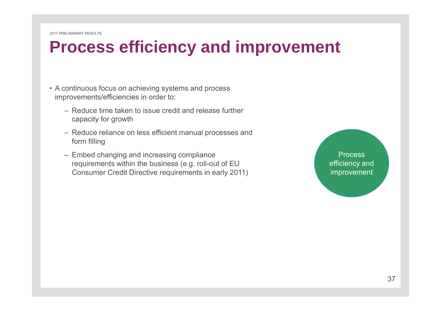#### **Process efficiency and improvement**

- A continuous focus on achieving systems and process improvements/efficiencies in order to:
	- Reduce time taken to issue credit and release further capacity for growth
	- Reduce reliance on less efficient manual processes and form filling
	- Embed changing and increasing compliance **The Contract of Contract Process** requirements within the business (e.g. roll-out of EU Consumer Credit Directive requirements in early 2011)

efficiency and improvement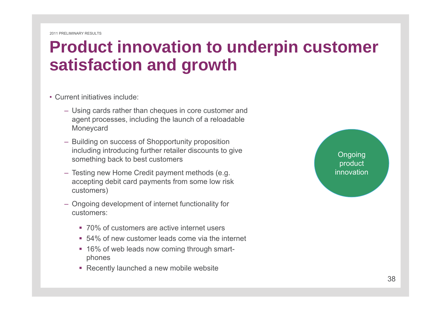## **Product innovation to underpin customer Product satisfaction and growth**

- Current initiatives include:
	- Using cards rather than cheques in core customer and agent processes, including the launch of a reloadable Moneycard
	- Building on success of Shopportunity proposition including introducing further retailer discounts to give something back to best customers
	- Testing new Home Credit payment methods (e.g. accepting debit card payments from some low risk customers)
	- Ongoing development of internet functionality for customers:
		- $\blacksquare$  70% of customers are active internet users
		- 54% of new customer leads come via the internet
		- 16% of web leads now coming through smartphones
		- Recently launched a new mobile website

Ongoing product innovation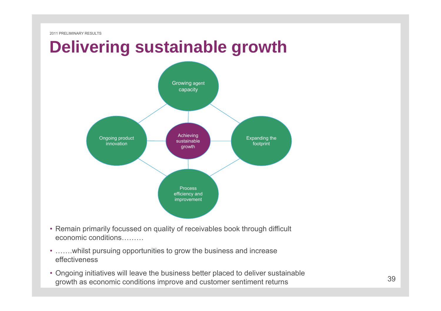## **Delivering sustainable growth**



- Remain primarily focussed on quality of receivables book through difficult economic conditions………
- …….whilst pursuing opportunities to grow the business and increase effectiveness
- Ongoing initiatives will leave the business better placed to deliver sustainable growth as economic conditions improve and customer sentiment returns  $39$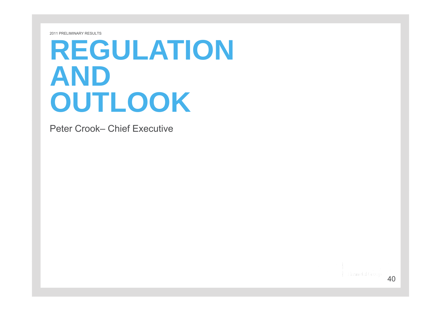# **REGULATION ANDOUTLOOK**

Peter Crook– Chief Executive

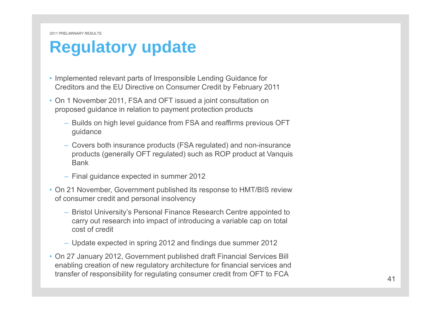#### **Regulatory update**

- Implemented relevant parts of Irresponsible Lending Guidance for Creditors and the EU Directive on Consumer Credit by February 2011
- On 1 November 2011, FSA and OFT issued a joint consultation on proposed guidance in relation to payment protection products
	- $-$  Builds on high level guidance from FSA and reaffirms previous OFT guidance
	- Covers both insurance products (FSA regulated) and non-insurance products (generally OFT regulated) such as ROP product at Vanquis Bank
	- Final guidance expected in summer 2012
- On 21 November, Government published its response to HMT/BIS review of consumer credit and personal insolvency
	- Bristol University's Personal Finance Research Centre appointed to carry out research into impact of introducing a variable cap on total cost of credit
	- Update expected in spring 2012 and findings due summer 2012
- On 27 January 2012, Government published draft Financial Services Bill enabling creation of new regulatory architecture for financial services and transfer of responsibility for regulating consumer credit from OFT to FCA 41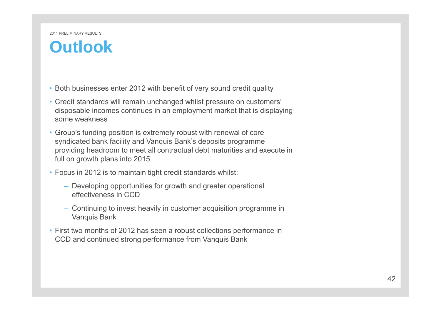#### **Outlook**

- Both businesses enter 2012 with benefit of very sound credit quality
- Credit standards will remain unchanged whilst pressure on customers' disposable incomes continues in an employment market that is displaying some weakness
- Group's funding position is extremely robust with renewal of core syndicated bank facility and Vanquis Bank's deposits programme providing headroom to meet all contractual debt maturities and execute in full on growth plans into 2015
- Focus in 2012 is to maintain tight credit standards whilst:
	- Developing opportunities for growth and greater operational effectiveness in CCD
	- Continuing to invest heavily in customer acquisition programme in Vanquis Bank
- First two months of 2012 has seen a robust collections performance in CCD and continued strong performance from Vanquis Bank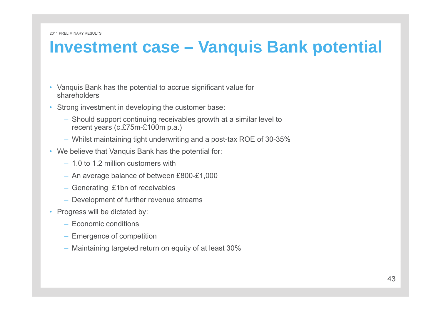#### **Investment case – Vanquis Bank potential**

- Vanquis Bank has the potential to accrue significant value for shareholders
- Strong investment in developing the customer base:
	- Should support continuing receivables growth at <sup>a</sup> similar level to recent years (c.£75m-£100m p.a.)
	- Whilst maintaining tight underwriting and a post-tax ROE of 30-35%
- We believe that Vanquis Bank has the potential for:
	- 1.0 to 1.2 million customers with
	- An average balance of between £800-£1,000
	- Generating £1bn of receivables
	- Development of further revenue streams
- Progress will be dictated by:
	- Economic conditions
	- Emergence of competition
	- Maintaining targeted return on equity of at least 30%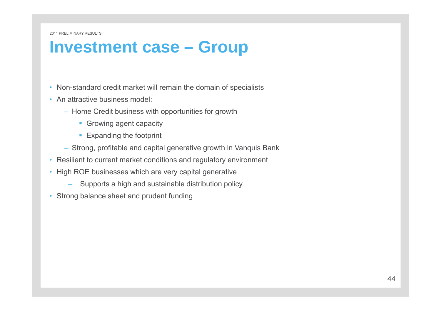#### **Investment case – Group**

- Non-standard credit market will remain the domain of specialists
- An attractive business model:
	- Home Credit business with opportunities for growth
		- **Growing agent capacity**
		- **Expanding the footprint**
	- Strong, profitable and capital generative growth in Vanquis Bank
- Resilient to current market conditions and regulatory environment
- High ROE businesses which are very capital generative
	- Supports a high and sustainable distribution policy
- Strong balance sheet and prudent funding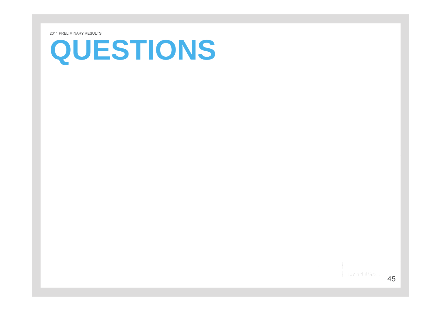